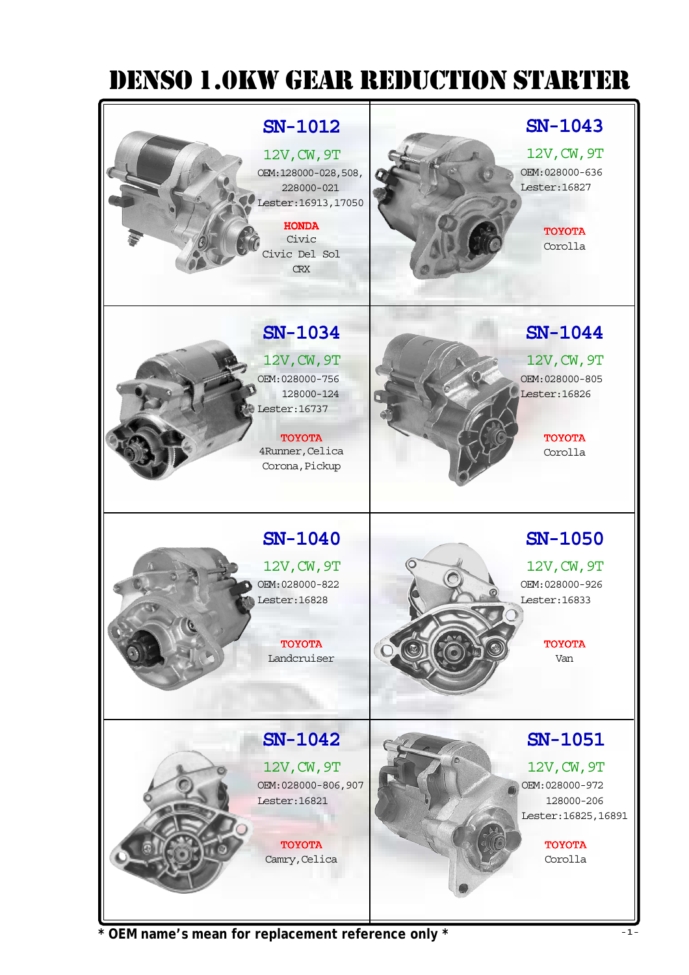

**\* OEM name's mean for replacement reference only \***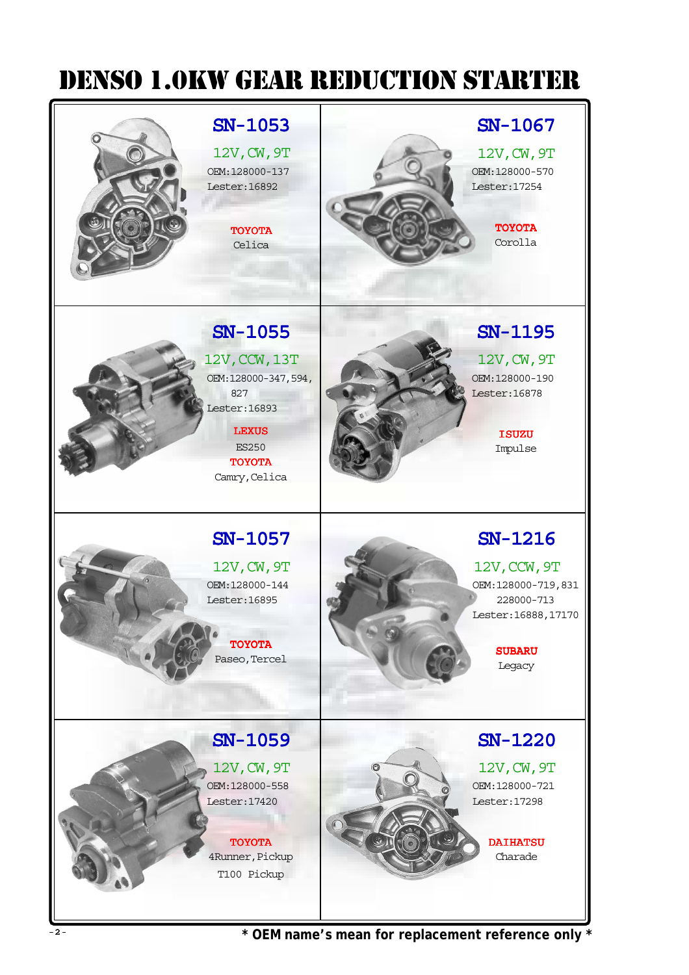## DENSO 1.0Kw GEar rEDUCTION STarTEr



\* OEM name's mean for replacement reference only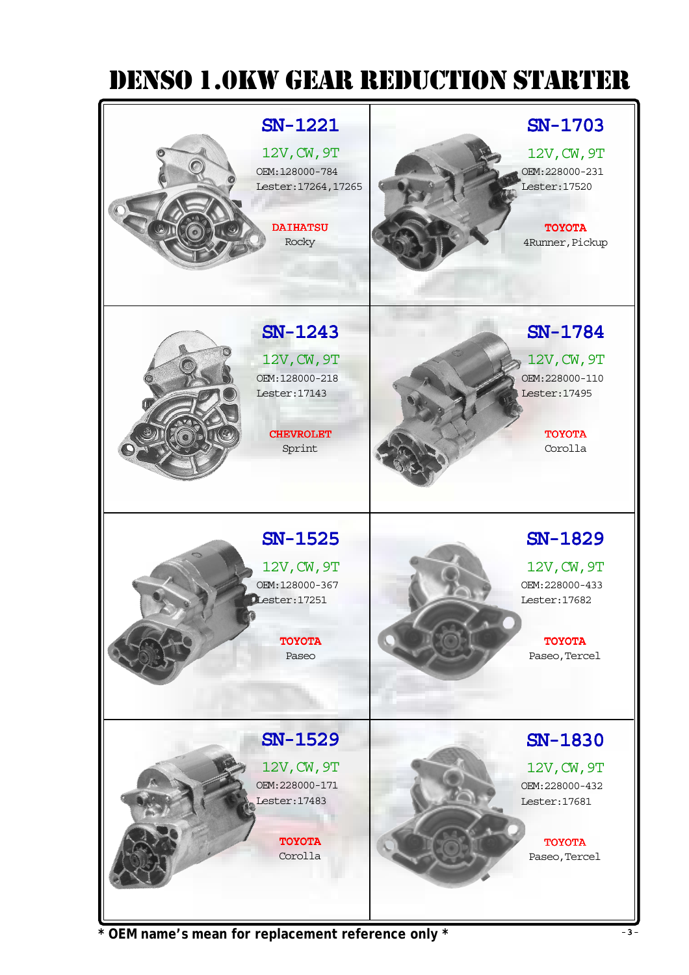

\* OEM name's mean for replacement reference only \*